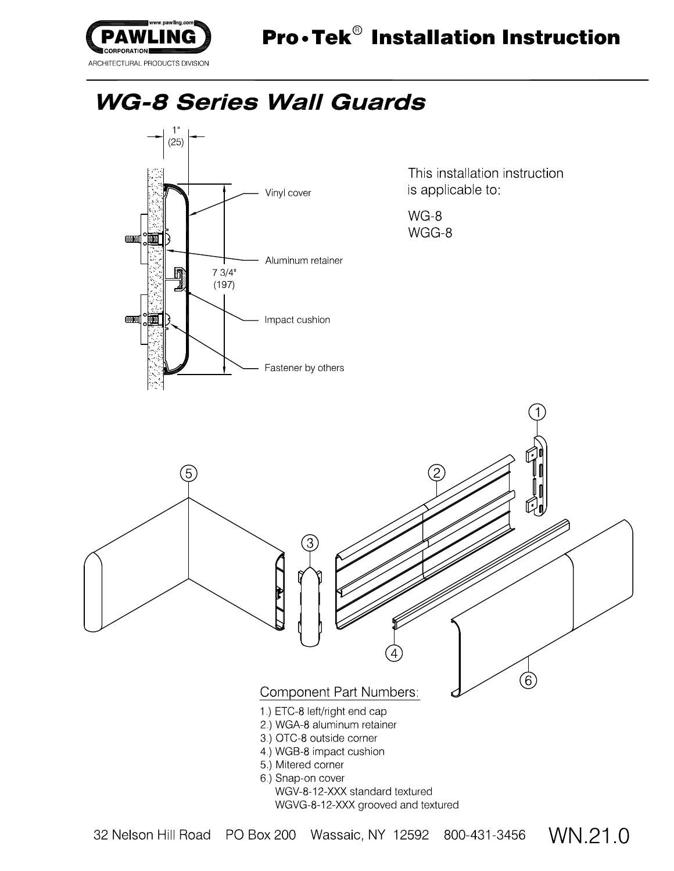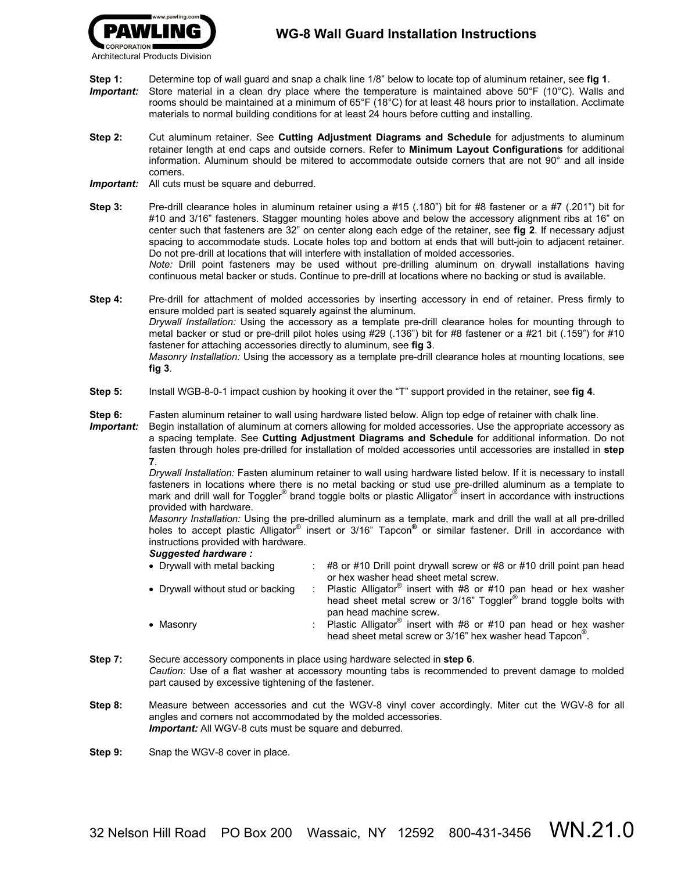- **Step 1:** Determine top of wall guard and snap a chalk line 1/8" below to locate top of aluminum retainer, see **fig 1**. *Important:*Store material in a clean dry place where the temperature is maintained above 50°F (10°C). Walls and rooms should be maintained at a minimum of 65°F (18°C) for at least 48 hours prior to installation. Acclimate materials to normal building conditions for at least 24 hours before cutting and installing.
- **Step 2:** Cut aluminum retainer. See **Cutting Adjustment Diagrams and Schedule** for adjustments to aluminum retainer length at end caps and outside corners. Refer to **Minimum Layout Configurations** for additional information. Aluminum should be mitered to accommodate outside corners that are not 90° and all inside corners.
- *Important:* All cuts must be square and deburred.

**Step 3:** Pre-drill clearance holes in aluminum retainer using a #15 (.180") bit for #8 fastener or a #7 (.201") bit for #10 and 3/16" fasteners. Stagger mounting holes above and below the accessory alignment ribs at 16" on center such that fasteners are 32" on center along each edge of the retainer, see **fig 2**. If necessary adjust spacing to accommodate studs. Locate holes top and bottom at ends that will butt-join to adjacent retainer. Do not pre-drill at locations that will interfere with installation of molded accessories. *Note:* Drill point fasteners may be used without pre-drilling aluminum on drywall installations having continuous metal backer or studs. Continue to pre-drill at locations where no backing or stud is available.

**Step 4:** Pre-drill for attachment of molded accessories by inserting accessory in end of retainer. Press firmly to ensure molded part is seated squarely against the aluminum. *Drywall Installation:* Using the accessory as a template pre-drill clearance holes for mounting through to metal backer or stud or pre-drill pilot holes using #29 (.136") bit for #8 fastener or a #21 bit (.159") for #10 fastener for attaching accessories directly to aluminum, see **fig 3**. *Masonry Installation:* Using the accessory as a template pre-drill clearance holes at mounting locations, see **fig 3**.

**Step 5:** Install WGB-8-0-1 impact cushion by hooking it over the "T" support provided in the retainer, see **fig 4**.

**Step 6:** Fasten aluminum retainer to wall using hardware listed below. Align top edge of retainer with chalk line.

*Important:* Begin installation of aluminum at corners allowing for molded accessories. Use the appropriate accessory as a spacing template. See **Cutting Adjustment Diagrams and Schedule** for additional information. Do not fasten through holes pre-drilled for installation of molded accessories until accessories are installed in **step 7**.

> *Drywall Installation:* Fasten aluminum retainer to wall using hardware listed below. If it is necessary to install fasteners in locations where there is no metal backing or stud use pre-drilled aluminum as a template to mark and drill wall for Toggler<sup>®</sup> brand toggle bolts or plastic Alligator<sup>®</sup> insert in accordance with instructions provided with hardware.

> *Masonry Installation:* Using the pre-drilled aluminum as a template, mark and drill the wall at all pre-drilled holes to accept plastic Alligator<sup>®</sup> insert or 3/16" Tapcon<sup>®</sup> or similar fastener. Drill in accordance with instructions provided with hardware.

## *Suggested hardware :*

| • Drywall with metal backing      | $\div$ #8 or #10 Drill point drywall screw or #8 or #10 drill point pan head  |
|-----------------------------------|-------------------------------------------------------------------------------|
|                                   | or hex washer head sheet metal screw.                                         |
| • Drywall without stud or backing | : Plastic Alligator <sup>®</sup> insert with #8 or #10 pan head or hex washer |
|                                   | head sheet metal screw or 3/16" Toggler <sup>®</sup> brand toggle bolts with  |
|                                   | pan head machine screw.                                                       |
| • Masonry                         | : Plastic Alligator <sup>®</sup> insert with #8 or #10 pan head or hex washer |
|                                   | head sheet metal screw or 3/16" hex washer head Tapcon <sup>®</sup> .         |

- **Step 7:** Secure accessory components in place using hardware selected in **step 6**. *Caution:* Use of a flat washer at accessory mounting tabs is recommended to prevent damage to molded part caused by excessive tightening of the fastener.
- **Step 8:** Measure between accessories and cut the WGV-8 vinyl cover accordingly. Miter cut the WGV-8 for all angles and corners not accommodated by the molded accessories. *Important:* All WGV-8 cuts must be square and deburred.

**Step 9:** Snap the WGV-8 cover in place.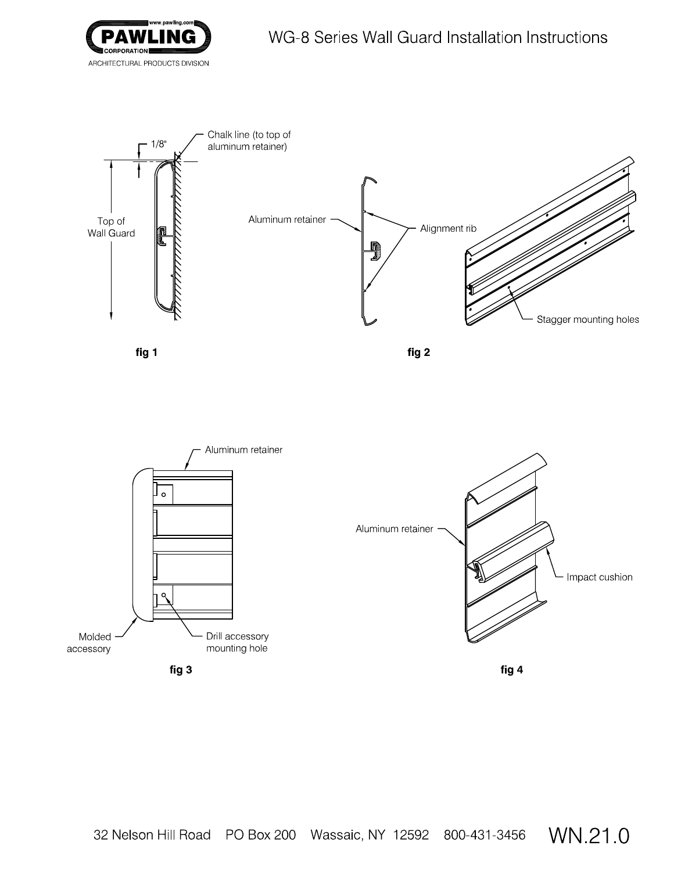